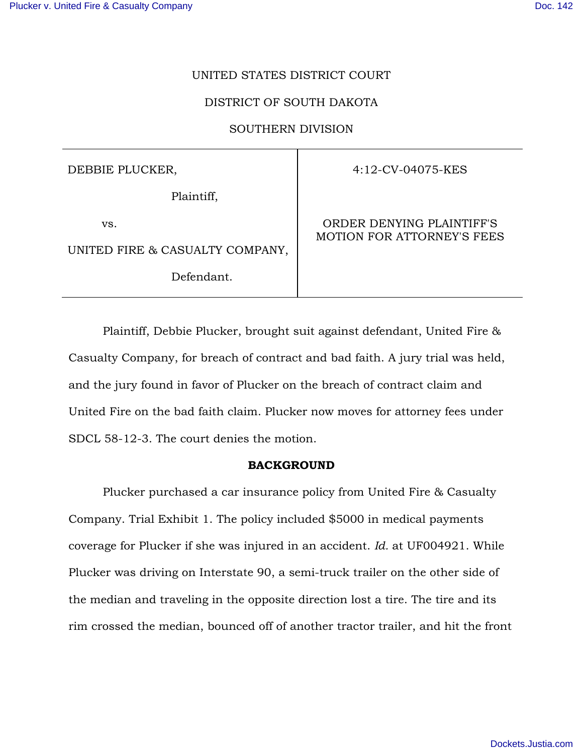## UNITED STATES DISTRICT COURT

## DISTRICT OF SOUTH DAKOTA

### SOUTHERN DIVISION

DEBBIE PLUCKER,

Plaintiff,

vs.

UNITED FIRE & CASUALTY COMPANY,

Defendant.

4:12-CV-04075-KES

ORDER DENYING PLAINTIFF'S MOTION FOR ATTORNEY'S FEES

 Plaintiff, Debbie Plucker, brought suit against defendant, United Fire & Casualty Company, for breach of contract and bad faith. A jury trial was held, and the jury found in favor of Plucker on the breach of contract claim and United Fire on the bad faith claim. Plucker now moves for attorney fees under SDCL 58-12-3. The court denies the motion.

### **BACKGROUND**

 Plucker purchased a car insurance policy from United Fire & Casualty Company. Trial Exhibit 1. The policy included \$5000 in medical payments coverage for Plucker if she was injured in an accident. *Id.* at UF004921. While Plucker was driving on Interstate 90, a semi-truck trailer on the other side of the median and traveling in the opposite direction lost a tire. The tire and its rim crossed the median, bounced off of another tractor trailer, and hit the front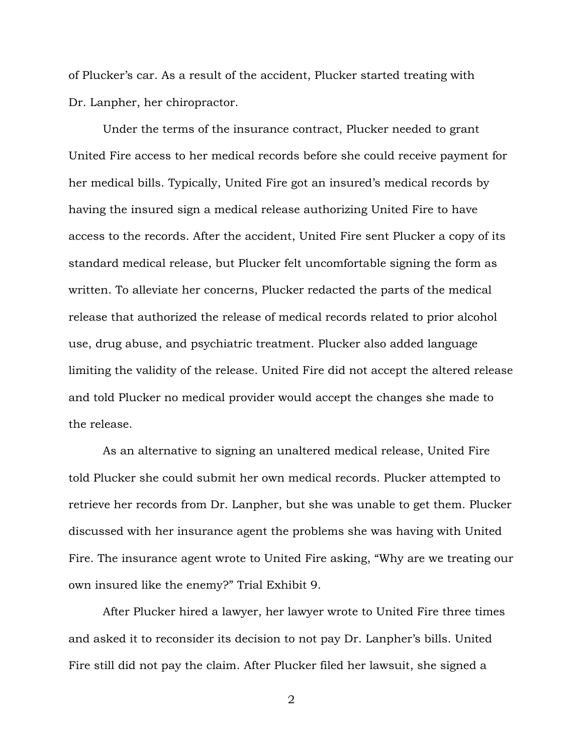of Plucker's car. As a result of the accident, Plucker started treating with Dr. Lanpher, her chiropractor.

 Under the terms of the insurance contract, Plucker needed to grant United Fire access to her medical records before she could receive payment for her medical bills. Typically, United Fire got an insured's medical records by having the insured sign a medical release authorizing United Fire to have access to the records. After the accident, United Fire sent Plucker a copy of its standard medical release, but Plucker felt uncomfortable signing the form as written. To alleviate her concerns, Plucker redacted the parts of the medical release that authorized the release of medical records related to prior alcohol use, drug abuse, and psychiatric treatment. Plucker also added language limiting the validity of the release. United Fire did not accept the altered release and told Plucker no medical provider would accept the changes she made to the release.

 As an alternative to signing an unaltered medical release, United Fire told Plucker she could submit her own medical records. Plucker attempted to retrieve her records from Dr. Lanpher, but she was unable to get them. Plucker discussed with her insurance agent the problems she was having with United Fire. The insurance agent wrote to United Fire asking, "Why are we treating our own insured like the enemy?" Trial Exhibit 9.

 After Plucker hired a lawyer, her lawyer wrote to United Fire three times and asked it to reconsider its decision to not pay Dr. Lanpher's bills. United Fire still did not pay the claim. After Plucker filed her lawsuit, she signed a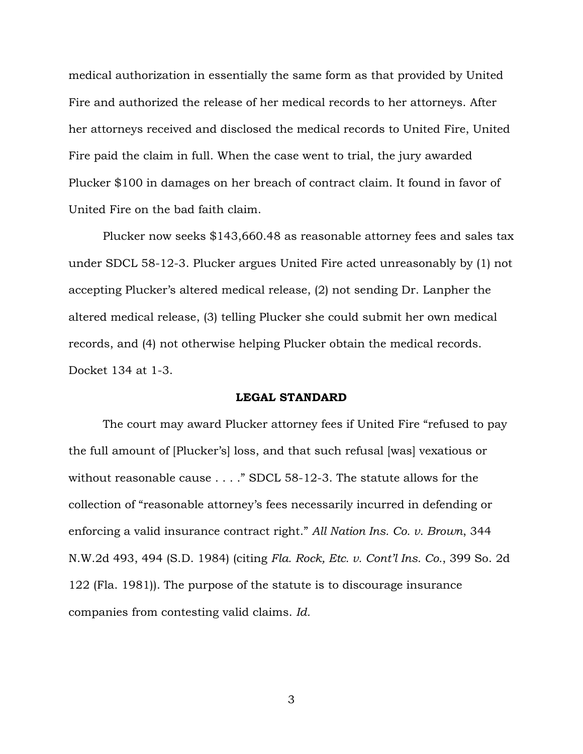medical authorization in essentially the same form as that provided by United Fire and authorized the release of her medical records to her attorneys. After her attorneys received and disclosed the medical records to United Fire, United Fire paid the claim in full. When the case went to trial, the jury awarded Plucker \$100 in damages on her breach of contract claim. It found in favor of United Fire on the bad faith claim.

 Plucker now seeks \$143,660.48 as reasonable attorney fees and sales tax under SDCL 58-12-3. Plucker argues United Fire acted unreasonably by (1) not accepting Plucker's altered medical release, (2) not sending Dr. Lanpher the altered medical release, (3) telling Plucker she could submit her own medical records, and (4) not otherwise helping Plucker obtain the medical records. Docket 134 at 1-3.

# **LEGAL STANDARD**

 The court may award Plucker attorney fees if United Fire "refused to pay the full amount of [Plucker's] loss, and that such refusal [was] vexatious or without reasonable cause . . . ." SDCL 58-12-3. The statute allows for the collection of "reasonable attorney's fees necessarily incurred in defending or enforcing a valid insurance contract right." *All Nation Ins. Co. v. Brown*, 344 N.W.2d 493, 494 (S.D. 1984) (citing *Fla. Rock, Etc. v. Cont'l Ins. Co.*, 399 So. 2d 122 (Fla. 1981)). The purpose of the statute is to discourage insurance companies from contesting valid claims. *Id.*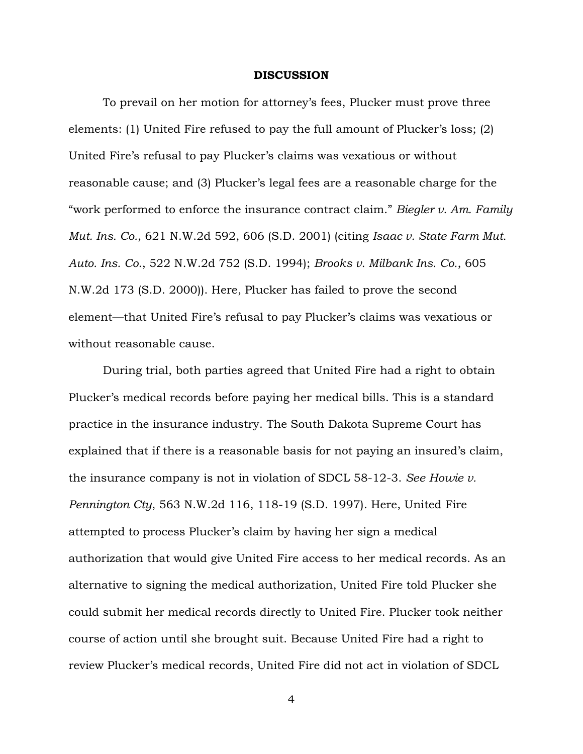#### **DISCUSSION**

To prevail on her motion for attorney's fees, Plucker must prove three elements: (1) United Fire refused to pay the full amount of Plucker's loss; (2) United Fire's refusal to pay Plucker's claims was vexatious or without reasonable cause; and (3) Plucker's legal fees are a reasonable charge for the "work performed to enforce the insurance contract claim." *Biegler v. Am. Family Mut. Ins. Co.*, 621 N.W.2d 592, 606 (S.D. 2001) (citing *Isaac v. State Farm Mut. Auto. Ins. Co.*, 522 N.W.2d 752 (S.D. 1994); *Brooks v. Milbank Ins. Co.*, 605 N.W.2d 173 (S.D. 2000)). Here, Plucker has failed to prove the second element—that United Fire's refusal to pay Plucker's claims was vexatious or without reasonable cause.

 During trial, both parties agreed that United Fire had a right to obtain Plucker's medical records before paying her medical bills. This is a standard practice in the insurance industry. The South Dakota Supreme Court has explained that if there is a reasonable basis for not paying an insured's claim, the insurance company is not in violation of SDCL 58-12-3. *See Howie v. Pennington Cty*, 563 N.W.2d 116, 118-19 (S.D. 1997). Here, United Fire attempted to process Plucker's claim by having her sign a medical authorization that would give United Fire access to her medical records. As an alternative to signing the medical authorization, United Fire told Plucker she could submit her medical records directly to United Fire. Plucker took neither course of action until she brought suit. Because United Fire had a right to review Plucker's medical records, United Fire did not act in violation of SDCL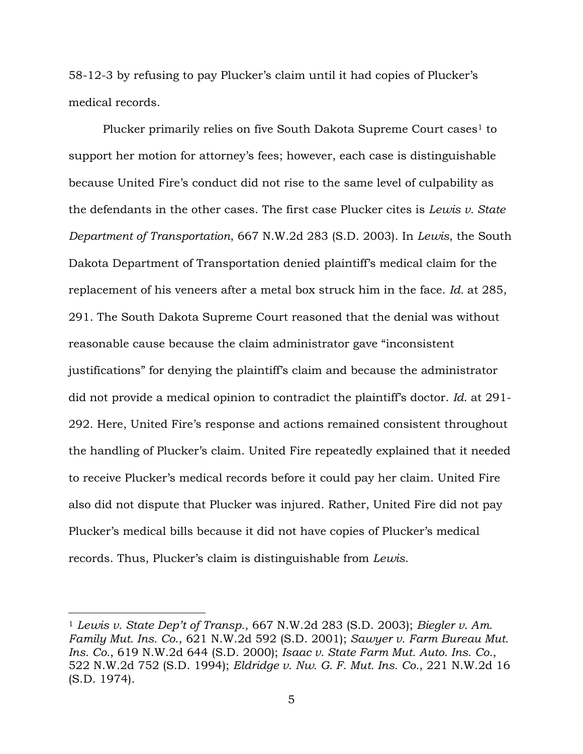58-12-3 by refusing to pay Plucker's claim until it had copies of Plucker's medical records.

Plucker primarily relies on five South Dakota Supreme Court cases<sup>1</sup> to support her motion for attorney's fees; however, each case is distinguishable because United Fire's conduct did not rise to the same level of culpability as the defendants in the other cases. The first case Plucker cites is *Lewis v. State Department of Transportation*, 667 N.W.2d 283 (S.D. 2003). In *Lewis*, the South Dakota Department of Transportation denied plaintiff's medical claim for the replacement of his veneers after a metal box struck him in the face. *Id.* at 285, 291. The South Dakota Supreme Court reasoned that the denial was without reasonable cause because the claim administrator gave "inconsistent justifications" for denying the plaintiff's claim and because the administrator did not provide a medical opinion to contradict the plaintiff's doctor. *Id.* at 291- 292. Here, United Fire's response and actions remained consistent throughout the handling of Plucker's claim. United Fire repeatedly explained that it needed to receive Plucker's medical records before it could pay her claim. United Fire also did not dispute that Plucker was injured. Rather, United Fire did not pay Plucker's medical bills because it did not have copies of Plucker's medical records. Thus, Plucker's claim is distinguishable from *Lewis*.

 $\overline{a}$ 

<sup>1</sup> *Lewis v. State Dep't of Transp.*, 667 N.W.2d 283 (S.D. 2003); *Biegler v. Am. Family Mut. Ins. Co.*, 621 N.W.2d 592 (S.D. 2001); *Sawyer v. Farm Bureau Mut. Ins. Co.*, 619 N.W.2d 644 (S.D. 2000); *Isaac v. State Farm Mut. Auto. Ins. Co.*, 522 N.W.2d 752 (S.D. 1994); *Eldridge v. Nw. G. F. Mut. Ins. Co.*, 221 N.W.2d 16 (S.D. 1974).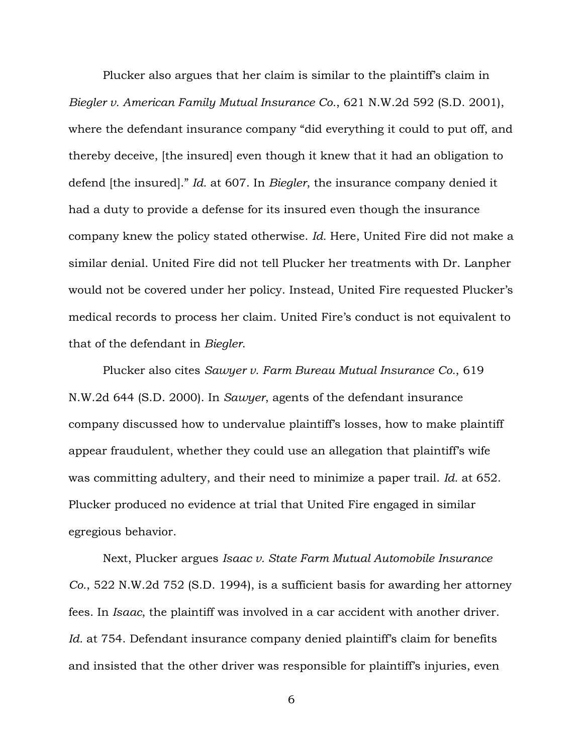Plucker also argues that her claim is similar to the plaintiff's claim in *Biegler v. American Family Mutual Insurance Co.*, 621 N.W.2d 592 (S.D. 2001), where the defendant insurance company "did everything it could to put off, and thereby deceive, [the insured] even though it knew that it had an obligation to defend [the insured]." *Id.* at 607. In *Biegler*, the insurance company denied it had a duty to provide a defense for its insured even though the insurance company knew the policy stated otherwise. *Id.* Here, United Fire did not make a similar denial. United Fire did not tell Plucker her treatments with Dr. Lanpher would not be covered under her policy. Instead, United Fire requested Plucker's medical records to process her claim. United Fire's conduct is not equivalent to that of the defendant in *Biegler*.

 Plucker also cites *Sawyer v. Farm Bureau Mutual Insurance Co.*, 619 N.W.2d 644 (S.D. 2000). In *Sawyer*, agents of the defendant insurance company discussed how to undervalue plaintiff's losses, how to make plaintiff appear fraudulent, whether they could use an allegation that plaintiff's wife was committing adultery, and their need to minimize a paper trail. *Id.* at 652. Plucker produced no evidence at trial that United Fire engaged in similar egregious behavior.

 Next, Plucker argues *Isaac v. State Farm Mutual Automobile Insurance Co.*, 522 N.W.2d 752 (S.D. 1994), is a sufficient basis for awarding her attorney fees. In *Isaac*, the plaintiff was involved in a car accident with another driver. *Id.* at 754. Defendant insurance company denied plaintiff's claim for benefits and insisted that the other driver was responsible for plaintiff's injuries, even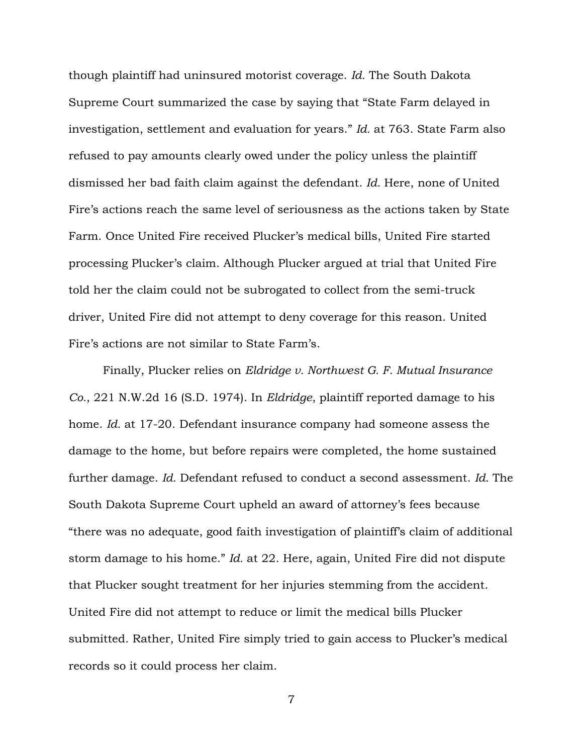though plaintiff had uninsured motorist coverage. *Id.* The South Dakota Supreme Court summarized the case by saying that "State Farm delayed in investigation, settlement and evaluation for years." *Id.* at 763. State Farm also refused to pay amounts clearly owed under the policy unless the plaintiff dismissed her bad faith claim against the defendant. *Id.* Here, none of United Fire's actions reach the same level of seriousness as the actions taken by State Farm. Once United Fire received Plucker's medical bills, United Fire started processing Plucker's claim. Although Plucker argued at trial that United Fire told her the claim could not be subrogated to collect from the semi-truck driver, United Fire did not attempt to deny coverage for this reason. United Fire's actions are not similar to State Farm's.

 Finally, Plucker relies on *Eldridge v. Northwest G. F. Mutual Insurance Co.*, 221 N.W.2d 16 (S.D. 1974). In *Eldridge*, plaintiff reported damage to his home. *Id.* at 17-20. Defendant insurance company had someone assess the damage to the home, but before repairs were completed, the home sustained further damage. *Id.* Defendant refused to conduct a second assessment. *Id.* The South Dakota Supreme Court upheld an award of attorney's fees because "there was no adequate, good faith investigation of plaintiff's claim of additional storm damage to his home." *Id.* at 22. Here, again, United Fire did not dispute that Plucker sought treatment for her injuries stemming from the accident. United Fire did not attempt to reduce or limit the medical bills Plucker submitted. Rather, United Fire simply tried to gain access to Plucker's medical records so it could process her claim.